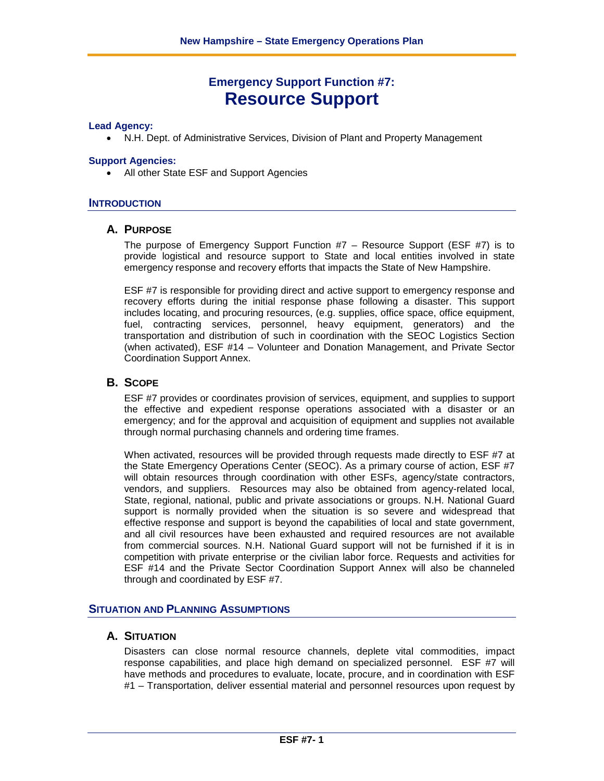# **Emergency Support Function #7: Resource Support**

#### **Lead Agency:**

• N.H. Dept. of Administrative Services, Division of Plant and Property Management

#### **Support Agencies:**

• All other State ESF and Support Agencies

#### **INTRODUCTION**

#### **A. PURPOSE**

The purpose of Emergency Support Function #7 – Resource Support (ESF #7) is to provide logistical and resource support to State and local entities involved in state emergency response and recovery efforts that impacts the State of New Hampshire.

ESF #7 is responsible for providing direct and active support to emergency response and recovery efforts during the initial response phase following a disaster. This support includes locating, and procuring resources, (e.g. supplies, office space, office equipment, fuel, contracting services, personnel, heavy equipment, generators) and the transportation and distribution of such in coordination with the SEOC Logistics Section (when activated), ESF #14 – Volunteer and Donation Management, and Private Sector Coordination Support Annex.

### **B. SCOPE**

ESF #7 provides or coordinates provision of services, equipment, and supplies to support the effective and expedient response operations associated with a disaster or an emergency; and for the approval and acquisition of equipment and supplies not available through normal purchasing channels and ordering time frames.

When activated, resources will be provided through requests made directly to ESF #7 at the State Emergency Operations Center (SEOC). As a primary course of action, ESF #7 will obtain resources through coordination with other ESFs, agency/state contractors, vendors, and suppliers. Resources may also be obtained from agency-related local, State, regional, national, public and private associations or groups. N.H. National Guard support is normally provided when the situation is so severe and widespread that effective response and support is beyond the capabilities of local and state government, and all civil resources have been exhausted and required resources are not available from commercial sources. N.H. National Guard support will not be furnished if it is in competition with private enterprise or the civilian labor force. Requests and activities for ESF #14 and the Private Sector Coordination Support Annex will also be channeled through and coordinated by ESF #7.

#### **SITUATION AND PLANNING ASSUMPTIONS**

#### **A. SITUATION**

Disasters can close normal resource channels, deplete vital commodities, impact response capabilities, and place high demand on specialized personnel. ESF #7 will have methods and procedures to evaluate, locate, procure, and in coordination with ESF #1 – Transportation, deliver essential material and personnel resources upon request by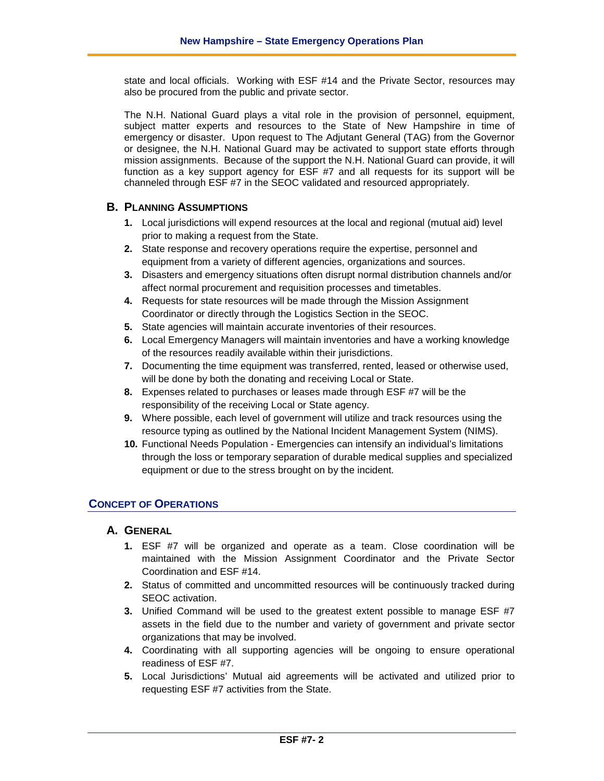state and local officials. Working with ESF #14 and the Private Sector, resources may also be procured from the public and private sector.

The N.H. National Guard plays a vital role in the provision of personnel, equipment, subject matter experts and resources to the State of New Hampshire in time of emergency or disaster. Upon request to The Adjutant General (TAG) from the Governor or designee, the N.H. National Guard may be activated to support state efforts through mission assignments. Because of the support the N.H. National Guard can provide, it will function as a key support agency for ESF #7 and all requests for its support will be channeled through ESF #7 in the SEOC validated and resourced appropriately.

# **B. PLANNING ASSUMPTIONS**

- **1.** Local jurisdictions will expend resources at the local and regional (mutual aid) level prior to making a request from the State.
- **2.** State response and recovery operations require the expertise, personnel and equipment from a variety of different agencies, organizations and sources.
- **3.** Disasters and emergency situations often disrupt normal distribution channels and/or affect normal procurement and requisition processes and timetables.
- **4.** Requests for state resources will be made through the Mission Assignment Coordinator or directly through the Logistics Section in the SEOC.
- **5.** State agencies will maintain accurate inventories of their resources.
- **6.** Local Emergency Managers will maintain inventories and have a working knowledge of the resources readily available within their jurisdictions.
- **7.** Documenting the time equipment was transferred, rented, leased or otherwise used, will be done by both the donating and receiving Local or State.
- **8.** Expenses related to purchases or leases made through ESF #7 will be the responsibility of the receiving Local or State agency.
- **9.** Where possible, each level of government will utilize and track resources using the resource typing as outlined by the National Incident Management System (NIMS).
- **10.** Functional Needs Population Emergencies can intensify an individual's limitations through the loss or temporary separation of durable medical supplies and specialized equipment or due to the stress brought on by the incident.

# **CONCEPT OF OPERATIONS**

# **A. GENERAL**

- **1.** ESF #7 will be organized and operate as a team. Close coordination will be maintained with the Mission Assignment Coordinator and the Private Sector Coordination and ESF #14.
- **2.** Status of committed and uncommitted resources will be continuously tracked during SEOC activation.
- **3.** Unified Command will be used to the greatest extent possible to manage ESF #7 assets in the field due to the number and variety of government and private sector organizations that may be involved.
- **4.** Coordinating with all supporting agencies will be ongoing to ensure operational readiness of ESF #7.
- **5.** Local Jurisdictions' Mutual aid agreements will be activated and utilized prior to requesting ESF #7 activities from the State.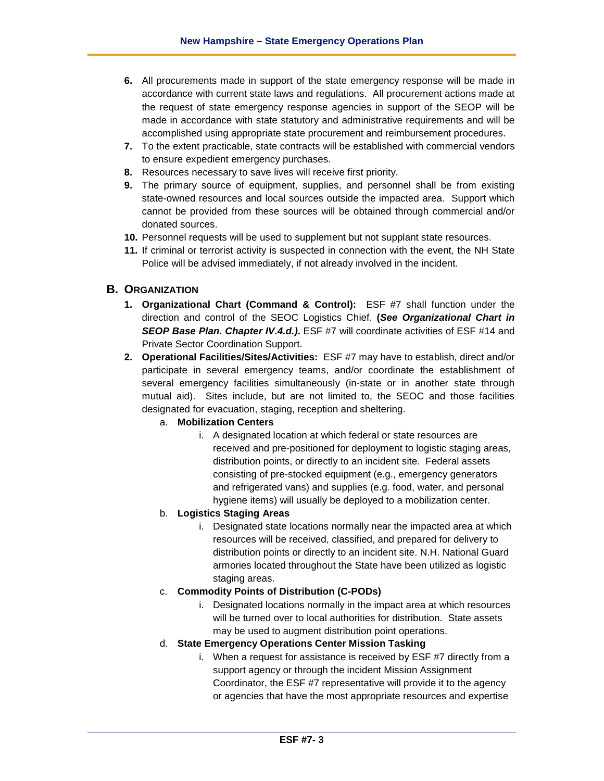- **6.** All procurements made in support of the state emergency response will be made in accordance with current state laws and regulations. All procurement actions made at the request of state emergency response agencies in support of the SEOP will be made in accordance with state statutory and administrative requirements and will be accomplished using appropriate state procurement and reimbursement procedures.
- **7.** To the extent practicable, state contracts will be established with commercial vendors to ensure expedient emergency purchases.
- **8.** Resources necessary to save lives will receive first priority.
- **9.** The primary source of equipment, supplies, and personnel shall be from existing state-owned resources and local sources outside the impacted area. Support which cannot be provided from these sources will be obtained through commercial and/or donated sources.
- **10.** Personnel requests will be used to supplement but not supplant state resources.
- **11.** If criminal or terrorist activity is suspected in connection with the event, the NH State Police will be advised immediately, if not already involved in the incident.

# **B. ORGANIZATION**

- **1. Organizational Chart (Command & Control):** ESF #7 shall function under the direction and control of the SEOC Logistics Chief. **(***See Organizational Chart in SEOP Base Plan. Chapter IV.4.d.)***.** ESF #7 will coordinate activities of ESF #14 and Private Sector Coordination Support.
- **2. Operational Facilities/Sites/Activities:** ESF #7 may have to establish, direct and/or participate in several emergency teams, and/or coordinate the establishment of several emergency facilities simultaneously (in-state or in another state through mutual aid). Sites include, but are not limited to, the SEOC and those facilities designated for evacuation, staging, reception and sheltering.

#### a. **Mobilization Centers**

- i. A designated location at which federal or state resources are received and pre-positioned for deployment to logistic staging areas, distribution points, or directly to an incident site. Federal assets consisting of pre-stocked equipment (e.g., emergency generators and refrigerated vans) and supplies (e.g. food, water, and personal hygiene items) will usually be deployed to a mobilization center.
- b. **Logistics Staging Areas**
	- i. Designated state locations normally near the impacted area at which resources will be received, classified, and prepared for delivery to distribution points or directly to an incident site. N.H. National Guard armories located throughout the State have been utilized as logistic staging areas.
- c. **Commodity Points of Distribution (C-PODs)**
	- i. Designated locations normally in the impact area at which resources will be turned over to local authorities for distribution. State assets may be used to augment distribution point operations.
- d. **State Emergency Operations Center Mission Tasking**
	- i. When a request for assistance is received by ESF #7 directly from a support agency or through the incident Mission Assignment Coordinator, the ESF #7 representative will provide it to the agency or agencies that have the most appropriate resources and expertise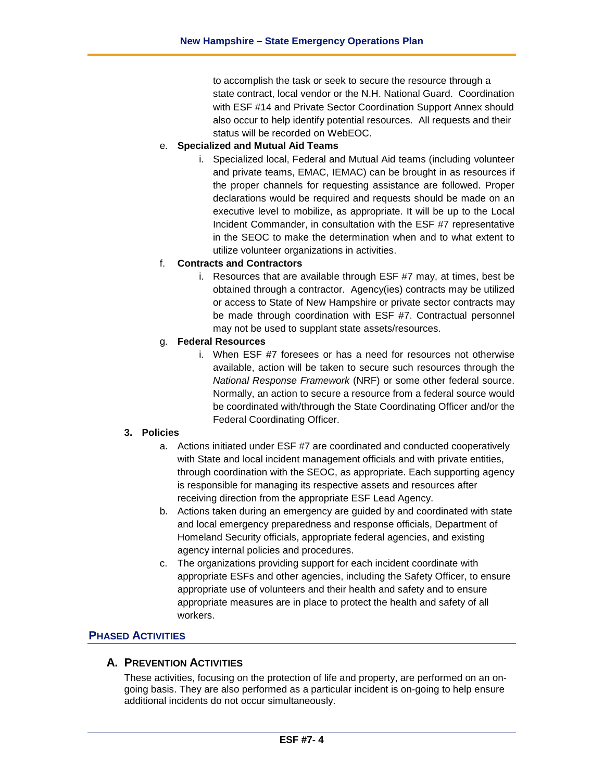to accomplish the task or seek to secure the resource through a state contract, local vendor or the N.H. National Guard. Coordination with ESF #14 and Private Sector Coordination Support Annex should also occur to help identify potential resources. All requests and their status will be recorded on WebEOC.

### e. **Specialized and Mutual Aid Teams**

i. Specialized local, Federal and Mutual Aid teams (including volunteer and private teams, EMAC, IEMAC) can be brought in as resources if the proper channels for requesting assistance are followed. Proper declarations would be required and requests should be made on an executive level to mobilize, as appropriate. It will be up to the Local Incident Commander, in consultation with the ESF #7 representative in the SEOC to make the determination when and to what extent to utilize volunteer organizations in activities.

#### f. **Contracts and Contractors**

i. Resources that are available through ESF #7 may, at times, best be obtained through a contractor. Agency(ies) contracts may be utilized or access to State of New Hampshire or private sector contracts may be made through coordination with ESF #7. Contractual personnel may not be used to supplant state assets/resources.

#### g. **Federal Resources**

i. When ESF #7 foresees or has a need for resources not otherwise available, action will be taken to secure such resources through the *National Response Framework* (NRF) or some other federal source. Normally, an action to secure a resource from a federal source would be coordinated with/through the State Coordinating Officer and/or the Federal Coordinating Officer.

#### **3. Policies**

- a. Actions initiated under ESF #7 are coordinated and conducted cooperatively with State and local incident management officials and with private entities, through coordination with the SEOC, as appropriate. Each supporting agency is responsible for managing its respective assets and resources after receiving direction from the appropriate ESF Lead Agency.
- b. Actions taken during an emergency are guided by and coordinated with state and local emergency preparedness and response officials, Department of Homeland Security officials, appropriate federal agencies, and existing agency internal policies and procedures.
- c. The organizations providing support for each incident coordinate with appropriate ESFs and other agencies, including the Safety Officer, to ensure appropriate use of volunteers and their health and safety and to ensure appropriate measures are in place to protect the health and safety of all workers.

# **PHASED ACTIVITIES**

# **A. PREVENTION ACTIVITIES**

These activities, focusing on the protection of life and property, are performed on an ongoing basis. They are also performed as a particular incident is on-going to help ensure additional incidents do not occur simultaneously.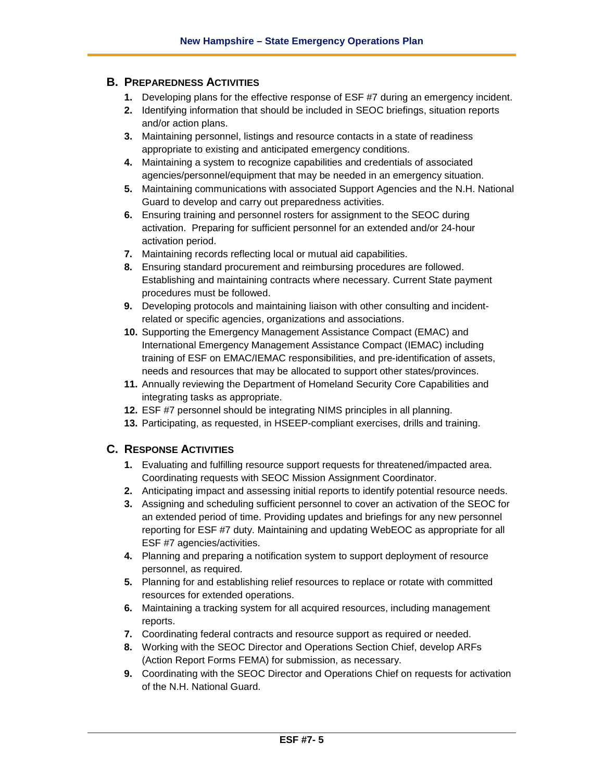# **B. PREPAREDNESS ACTIVITIES**

- **1.** Developing plans for the effective response of ESF #7 during an emergency incident.
- **2.** Identifying information that should be included in SEOC briefings, situation reports and/or action plans.
- **3.** Maintaining personnel, listings and resource contacts in a state of readiness appropriate to existing and anticipated emergency conditions.
- **4.** Maintaining a system to recognize capabilities and credentials of associated agencies/personnel/equipment that may be needed in an emergency situation.
- **5.** Maintaining communications with associated Support Agencies and the N.H. National Guard to develop and carry out preparedness activities.
- **6.** Ensuring training and personnel rosters for assignment to the SEOC during activation. Preparing for sufficient personnel for an extended and/or 24-hour activation period.
- **7.** Maintaining records reflecting local or mutual aid capabilities.
- **8.** Ensuring standard procurement and reimbursing procedures are followed. Establishing and maintaining contracts where necessary. Current State payment procedures must be followed.
- **9.** Developing protocols and maintaining liaison with other consulting and incidentrelated or specific agencies, organizations and associations.
- **10.** Supporting the Emergency Management Assistance Compact (EMAC) and International Emergency Management Assistance Compact (IEMAC) including training of ESF on EMAC/IEMAC responsibilities, and pre-identification of assets, needs and resources that may be allocated to support other states/provinces.
- **11.** Annually reviewing the Department of Homeland Security Core Capabilities and integrating tasks as appropriate.
- **12.** ESF #7 personnel should be integrating NIMS principles in all planning.
- **13.** Participating, as requested, in HSEEP-compliant exercises, drills and training.

# **C. RESPONSE ACTIVITIES**

- **1.** Evaluating and fulfilling resource support requests for threatened/impacted area. Coordinating requests with SEOC Mission Assignment Coordinator.
- **2.** Anticipating impact and assessing initial reports to identify potential resource needs.
- **3.** Assigning and scheduling sufficient personnel to cover an activation of the SEOC for an extended period of time. Providing updates and briefings for any new personnel reporting for ESF #7 duty. Maintaining and updating WebEOC as appropriate for all ESF #7 agencies/activities.
- **4.** Planning and preparing a notification system to support deployment of resource personnel, as required.
- **5.** Planning for and establishing relief resources to replace or rotate with committed resources for extended operations.
- **6.** Maintaining a tracking system for all acquired resources, including management reports.
- **7.** Coordinating federal contracts and resource support as required or needed.
- **8.** Working with the SEOC Director and Operations Section Chief, develop ARFs (Action Report Forms FEMA) for submission, as necessary.
- **9.** Coordinating with the SEOC Director and Operations Chief on requests for activation of the N.H. National Guard.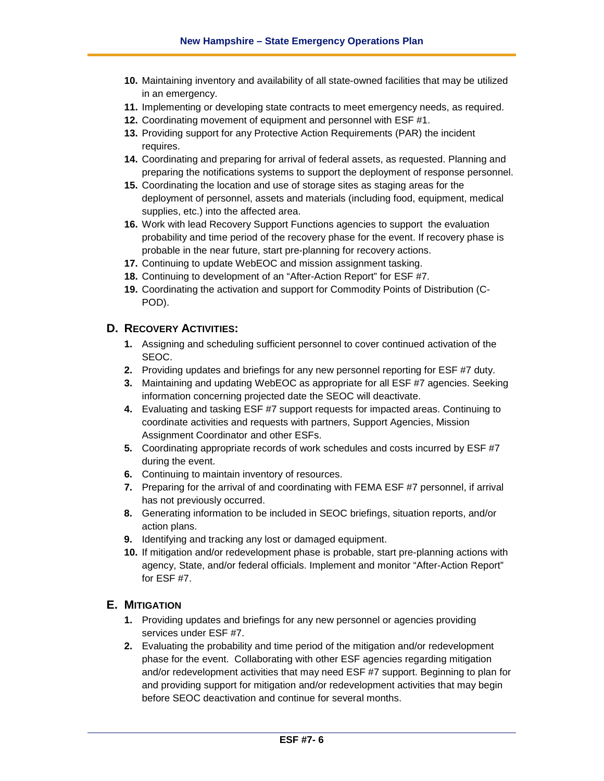- **10.** Maintaining inventory and availability of all state-owned facilities that may be utilized in an emergency.
- **11.** Implementing or developing state contracts to meet emergency needs, as required.
- **12.** Coordinating movement of equipment and personnel with ESF #1.
- **13.** Providing support for any Protective Action Requirements (PAR) the incident requires.
- **14.** Coordinating and preparing for arrival of federal assets, as requested. Planning and preparing the notifications systems to support the deployment of response personnel.
- **15.** Coordinating the location and use of storage sites as staging areas for the deployment of personnel, assets and materials (including food, equipment, medical supplies, etc.) into the affected area.
- **16.** Work with lead Recovery Support Functions agencies to support the evaluation probability and time period of the recovery phase for the event. If recovery phase is probable in the near future, start pre-planning for recovery actions.
- **17.** Continuing to update WebEOC and mission assignment tasking.
- **18.** Continuing to development of an "After-Action Report" for ESF #7.
- **19.** Coordinating the activation and support for Commodity Points of Distribution (C-POD).

# **D. RECOVERY ACTIVITIES:**

- **1.** Assigning and scheduling sufficient personnel to cover continued activation of the SEOC.
- **2.** Providing updates and briefings for any new personnel reporting for ESF #7 duty.
- **3.** Maintaining and updating WebEOC as appropriate for all ESF #7 agencies. Seeking information concerning projected date the SEOC will deactivate.
- **4.** Evaluating and tasking ESF #7 support requests for impacted areas. Continuing to coordinate activities and requests with partners, Support Agencies, Mission Assignment Coordinator and other ESFs.
- **5.** Coordinating appropriate records of work schedules and costs incurred by ESF #7 during the event.
- **6.** Continuing to maintain inventory of resources.
- **7.** Preparing for the arrival of and coordinating with FEMA ESF #7 personnel, if arrival has not previously occurred.
- **8.** Generating information to be included in SEOC briefings, situation reports, and/or action plans.
- **9.** Identifying and tracking any lost or damaged equipment.
- **10.** If mitigation and/or redevelopment phase is probable, start pre-planning actions with agency, State, and/or federal officials. Implement and monitor "After-Action Report" for ESF #7.

# **E. MITIGATION**

- **1.** Providing updates and briefings for any new personnel or agencies providing services under ESF #7.
- **2.** Evaluating the probability and time period of the mitigation and/or redevelopment phase for the event. Collaborating with other ESF agencies regarding mitigation and/or redevelopment activities that may need ESF #7 support. Beginning to plan for and providing support for mitigation and/or redevelopment activities that may begin before SEOC deactivation and continue for several months.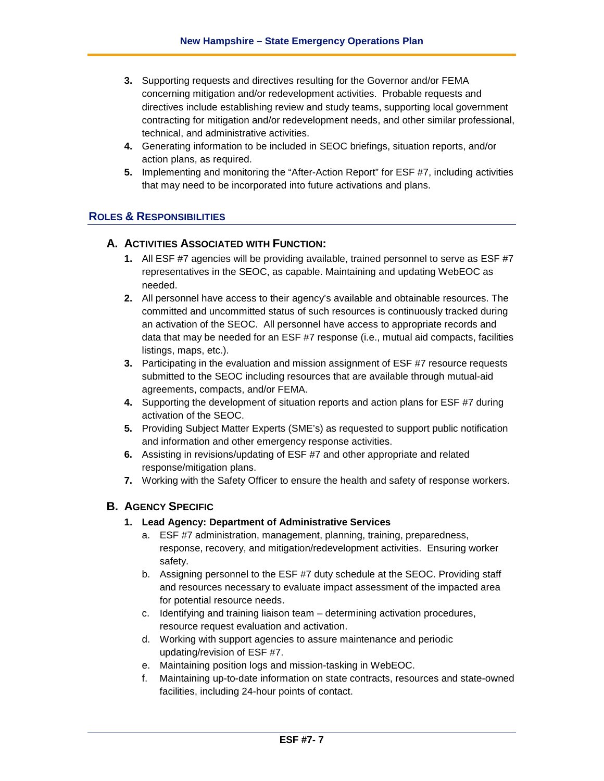- **3.** Supporting requests and directives resulting for the Governor and/or FEMA concerning mitigation and/or redevelopment activities. Probable requests and directives include establishing review and study teams, supporting local government contracting for mitigation and/or redevelopment needs, and other similar professional, technical, and administrative activities.
- **4.** Generating information to be included in SEOC briefings, situation reports, and/or action plans, as required.
- **5.** Implementing and monitoring the "After-Action Report" for ESF #7, including activities that may need to be incorporated into future activations and plans.

# **ROLES & RESPONSIBILITIES**

# **A. ACTIVITIES ASSOCIATED WITH FUNCTION:**

- **1.** All ESF #7 agencies will be providing available, trained personnel to serve as ESF #7 representatives in the SEOC, as capable. Maintaining and updating WebEOC as needed.
- **2.** All personnel have access to their agency's available and obtainable resources. The committed and uncommitted status of such resources is continuously tracked during an activation of the SEOC. All personnel have access to appropriate records and data that may be needed for an ESF #7 response (i.e., mutual aid compacts, facilities listings, maps, etc.).
- **3.** Participating in the evaluation and mission assignment of ESF #7 resource requests submitted to the SEOC including resources that are available through mutual-aid agreements, compacts, and/or FEMA.
- **4.** Supporting the development of situation reports and action plans for ESF #7 during activation of the SEOC.
- **5.** Providing Subject Matter Experts (SME's) as requested to support public notification and information and other emergency response activities.
- **6.** Assisting in revisions/updating of ESF #7 and other appropriate and related response/mitigation plans.
- **7.** Working with the Safety Officer to ensure the health and safety of response workers.

# **B. AGENCY SPECIFIC**

# **1. Lead Agency: Department of Administrative Services**

- a. ESF #7 administration, management, planning, training, preparedness, response, recovery, and mitigation/redevelopment activities. Ensuring worker safety.
- b. Assigning personnel to the ESF #7 duty schedule at the SEOC. Providing staff and resources necessary to evaluate impact assessment of the impacted area for potential resource needs.
- c. Identifying and training liaison team determining activation procedures, resource request evaluation and activation.
- d. Working with support agencies to assure maintenance and periodic updating/revision of ESF #7.
- e. Maintaining position logs and mission-tasking in WebEOC.
- f. Maintaining up-to-date information on state contracts, resources and state-owned facilities, including 24-hour points of contact.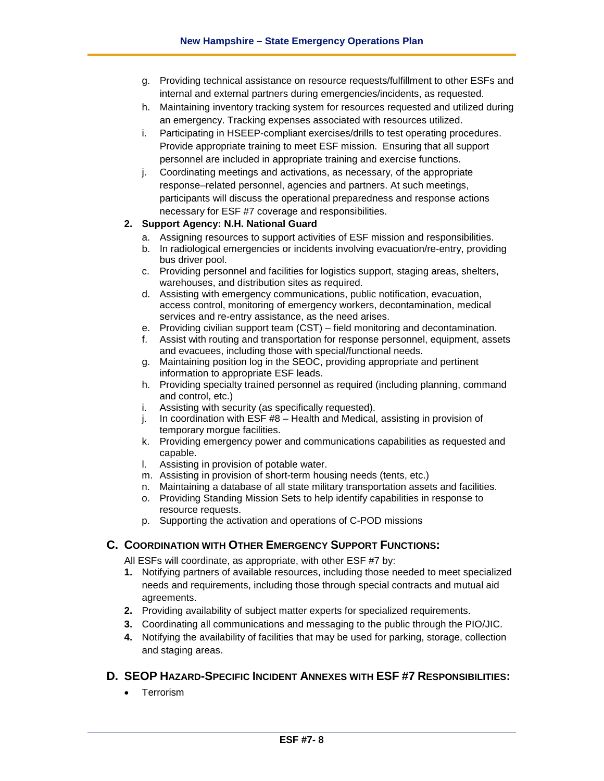- g. Providing technical assistance on resource requests/fulfillment to other ESFs and internal and external partners during emergencies/incidents, as requested.
- h. Maintaining inventory tracking system for resources requested and utilized during an emergency. Tracking expenses associated with resources utilized.
- i. Participating in HSEEP-compliant exercises/drills to test operating procedures. Provide appropriate training to meet ESF mission. Ensuring that all support personnel are included in appropriate training and exercise functions.
- j. Coordinating meetings and activations, as necessary, of the appropriate response–related personnel, agencies and partners. At such meetings, participants will discuss the operational preparedness and response actions necessary for ESF #7 coverage and responsibilities.

# **2. Support Agency: N.H. National Guard**

- a. Assigning resources to support activities of ESF mission and responsibilities.
- b. In radiological emergencies or incidents involving evacuation/re-entry, providing bus driver pool.
- c. Providing personnel and facilities for logistics support, staging areas, shelters, warehouses, and distribution sites as required.
- d. Assisting with emergency communications, public notification, evacuation, access control, monitoring of emergency workers, decontamination, medical services and re-entry assistance, as the need arises.
- e. Providing civilian support team (CST) field monitoring and decontamination.
- f. Assist with routing and transportation for response personnel, equipment, assets and evacuees, including those with special/functional needs.
- g. Maintaining position log in the SEOC, providing appropriate and pertinent information to appropriate ESF leads.
- h. Providing specialty trained personnel as required (including planning, command and control, etc.)
- i. Assisting with security (as specifically requested).
- j. In coordination with ESF #8 Health and Medical, assisting in provision of temporary morgue facilities.
- k. Providing emergency power and communications capabilities as requested and capable.
- l. Assisting in provision of potable water.
- m. Assisting in provision of short-term housing needs (tents, etc.)
- n. Maintaining a database of all state military transportation assets and facilities.
- o. Providing Standing Mission Sets to help identify capabilities in response to resource requests.
- p. Supporting the activation and operations of C-POD missions

# **C. COORDINATION WITH OTHER EMERGENCY SUPPORT FUNCTIONS:**

All ESFs will coordinate, as appropriate, with other ESF #7 by:

- **1.** Notifying partners of available resources, including those needed to meet specialized needs and requirements, including those through special contracts and mutual aid agreements.
- **2.** Providing availability of subject matter experts for specialized requirements.
- **3.** Coordinating all communications and messaging to the public through the PIO/JIC.
- **4.** Notifying the availability of facilities that may be used for parking, storage, collection and staging areas.

# **D. SEOP HAZARD-SPECIFIC INCIDENT ANNEXES WITH ESF #7 RESPONSIBILITIES:**

• Terrorism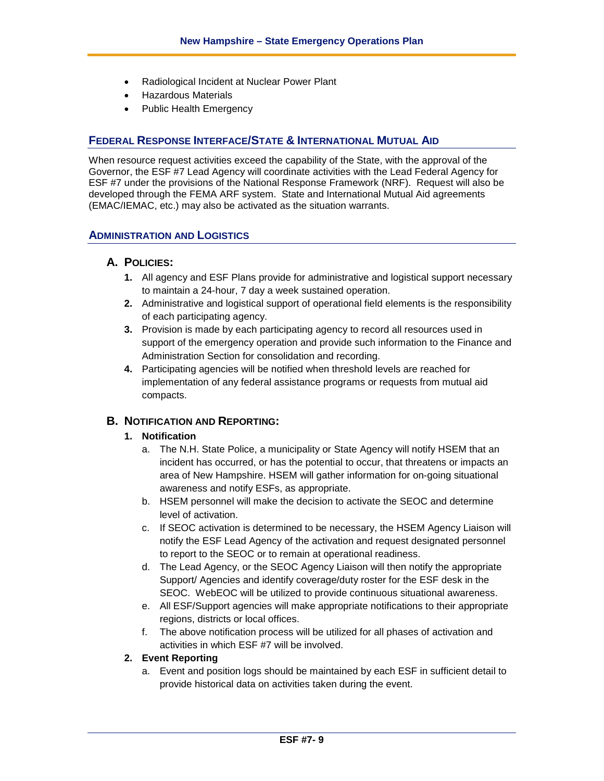- Radiological Incident at Nuclear Power Plant
- Hazardous Materials
- Public Health Emergency

# **FEDERAL RESPONSE INTERFACE/STATE & INTERNATIONAL MUTUAL AID**

When resource request activities exceed the capability of the State, with the approval of the Governor, the ESF #7 Lead Agency will coordinate activities with the Lead Federal Agency for ESF #7 under the provisions of the National Response Framework (NRF). Request will also be developed through the FEMA ARF system. State and International Mutual Aid agreements (EMAC/IEMAC, etc.) may also be activated as the situation warrants.

#### **ADMINISTRATION AND LOGISTICS**

# **A. POLICIES:**

- **1.** All agency and ESF Plans provide for administrative and logistical support necessary to maintain a 24-hour, 7 day a week sustained operation.
- **2.** Administrative and logistical support of operational field elements is the responsibility of each participating agency.
- **3.** Provision is made by each participating agency to record all resources used in support of the emergency operation and provide such information to the Finance and Administration Section for consolidation and recording.
- **4.** Participating agencies will be notified when threshold levels are reached for implementation of any federal assistance programs or requests from mutual aid compacts.

# **B. NOTIFICATION AND REPORTING:**

# **1. Notification**

- a. The N.H. State Police, a municipality or State Agency will notify HSEM that an incident has occurred, or has the potential to occur, that threatens or impacts an area of New Hampshire. HSEM will gather information for on-going situational awareness and notify ESFs, as appropriate.
- b. HSEM personnel will make the decision to activate the SEOC and determine level of activation.
- c. If SEOC activation is determined to be necessary, the HSEM Agency Liaison will notify the ESF Lead Agency of the activation and request designated personnel to report to the SEOC or to remain at operational readiness.
- d. The Lead Agency, or the SEOC Agency Liaison will then notify the appropriate Support/ Agencies and identify coverage/duty roster for the ESF desk in the SEOC. WebEOC will be utilized to provide continuous situational awareness.
- e. All ESF/Support agencies will make appropriate notifications to their appropriate regions, districts or local offices.
- f. The above notification process will be utilized for all phases of activation and activities in which ESF #7 will be involved.

# **2. Event Reporting**

a. Event and position logs should be maintained by each ESF in sufficient detail to provide historical data on activities taken during the event.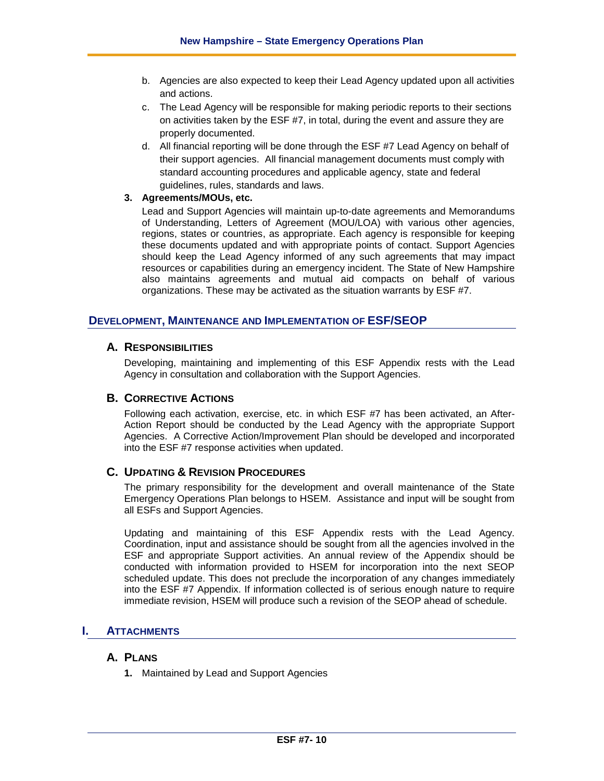- b. Agencies are also expected to keep their Lead Agency updated upon all activities and actions.
- c. The Lead Agency will be responsible for making periodic reports to their sections on activities taken by the ESF #7, in total, during the event and assure they are properly documented.
- d. All financial reporting will be done through the ESF #7 Lead Agency on behalf of their support agencies. All financial management documents must comply with standard accounting procedures and applicable agency, state and federal guidelines, rules, standards and laws.

### **3. Agreements/MOUs, etc.**

Lead and Support Agencies will maintain up-to-date agreements and Memorandums of Understanding, Letters of Agreement (MOU/LOA) with various other agencies, regions, states or countries, as appropriate. Each agency is responsible for keeping these documents updated and with appropriate points of contact. Support Agencies should keep the Lead Agency informed of any such agreements that may impact resources or capabilities during an emergency incident. The State of New Hampshire also maintains agreements and mutual aid compacts on behalf of various organizations. These may be activated as the situation warrants by ESF #7.

# **DEVELOPMENT, MAINTENANCE AND IMPLEMENTATION OF ESF/SEOP**

# **A. RESPONSIBILITIES**

Developing, maintaining and implementing of this ESF Appendix rests with the Lead Agency in consultation and collaboration with the Support Agencies.

# **B. CORRECTIVE ACTIONS**

Following each activation, exercise, etc. in which ESF #7 has been activated, an After-Action Report should be conducted by the Lead Agency with the appropriate Support Agencies. A Corrective Action/Improvement Plan should be developed and incorporated into the ESF #7 response activities when updated.

# **C. UPDATING & REVISION PROCEDURES**

The primary responsibility for the development and overall maintenance of the State Emergency Operations Plan belongs to HSEM. Assistance and input will be sought from all ESFs and Support Agencies.

Updating and maintaining of this ESF Appendix rests with the Lead Agency. Coordination, input and assistance should be sought from all the agencies involved in the ESF and appropriate Support activities. An annual review of the Appendix should be conducted with information provided to HSEM for incorporation into the next SEOP scheduled update. This does not preclude the incorporation of any changes immediately into the ESF #7 Appendix. If information collected is of serious enough nature to require immediate revision, HSEM will produce such a revision of the SEOP ahead of schedule.

# **I. ATTACHMENTS**

# **A. PLANS**

**1.** Maintained by Lead and Support Agencies